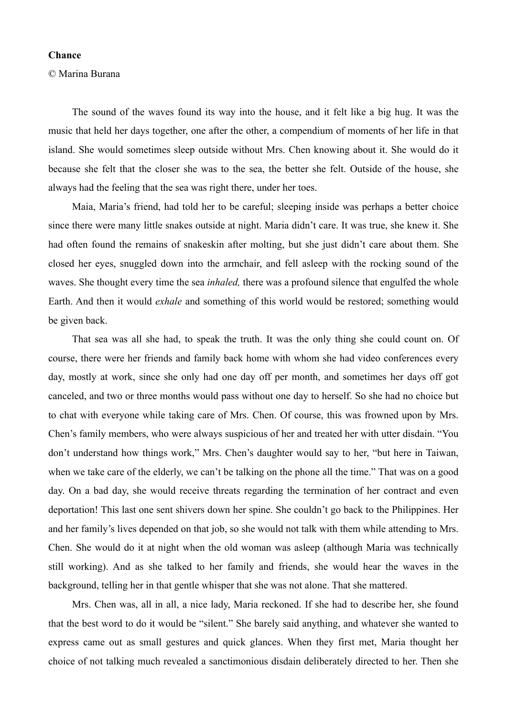## **Chance**

## © Marina Burana

The sound of the waves found its way into the house, and it felt like a big hug. It was the music that held her days together, one after the other, a compendium of moments of her life in that island. She would sometimes sleep outside without Mrs. Chen knowing about it. She would do it because she felt that the closer she was to the sea, the better she felt. Outside of the house, she always had the feeling that the sea was right there, under her toes.

Maia, Maria's friend, had told her to be careful; sleeping inside was perhaps a better choice since there were many little snakes outside at night. Maria didn't care. It was true, she knew it. She had often found the remains of snakeskin after molting, but she just didn't care about them. She closed her eyes, snuggled down into the armchair, and fell asleep with the rocking sound of the waves. She thought every time the sea *inhaled,* there was a profound silence that engulfed the whole Earth. And then it would *exhale* and something of this world would be restored; something would be given back.

That sea was all she had, to speak the truth. It was the only thing she could count on. Of course, there were her friends and family back home with whom she had video conferences every day, mostly at work, since she only had one day off per month, and sometimes her days off got canceled, and two or three months would pass without one day to herself. So she had no choice but to chat with everyone while taking care of Mrs. Chen. Of course, this was frowned upon by Mrs. Chen's family members, who were always suspicious of her and treated her with utter disdain. "You don't understand how things work," Mrs. Chen's daughter would say to her, "but here in Taiwan, when we take care of the elderly, we can't be talking on the phone all the time." That was on a good day. On a bad day, she would receive threats regarding the termination of her contract and even deportation! This last one sent shivers down her spine. She couldn't go back to the Philippines. Her and her family's lives depended on that job, so she would not talk with them while attending to Mrs. Chen. She would do it at night when the old woman was asleep (although Maria was technically still working). And as she talked to her family and friends, she would hear the waves in the background, telling her in that gentle whisper that she was not alone. That she mattered.

Mrs. Chen was, all in all, a nice lady, Maria reckoned. If she had to describe her, she found that the best word to do it would be "silent." She barely said anything, and whatever she wanted to express came out as small gestures and quick glances. When they first met, Maria thought her choice of not talking much revealed a sanctimonious disdain deliberately directed to her. Then she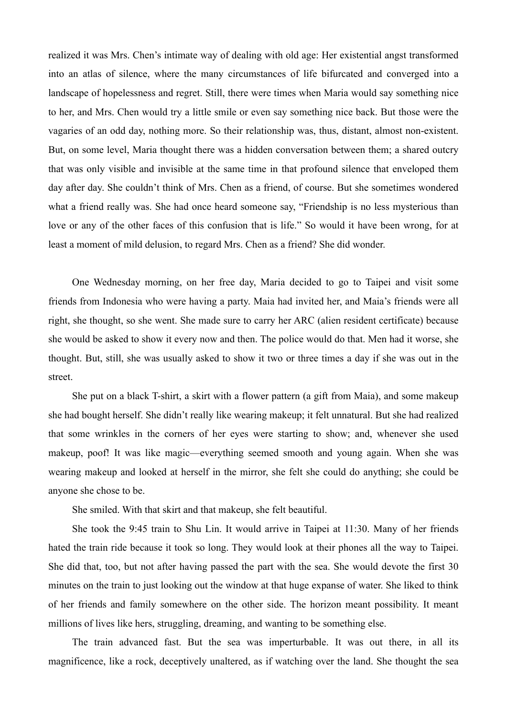realized it was Mrs. Chen's intimate way of dealing with old age: Her existential angst transformed into an atlas of silence, where the many circumstances of life bifurcated and converged into a landscape of hopelessness and regret. Still, there were times when Maria would say something nice to her, and Mrs. Chen would try a little smile or even say something nice back. But those were the vagaries of an odd day, nothing more. So their relationship was, thus, distant, almost non-existent. But, on some level, Maria thought there was a hidden conversation between them; a shared outcry that was only visible and invisible at the same time in that profound silence that enveloped them day after day. She couldn't think of Mrs. Chen as a friend, of course. But she sometimes wondered what a friend really was. She had once heard someone say, "Friendship is no less mysterious than love or any of the other faces of this confusion that is life." So would it have been wrong, for at least a moment of mild delusion, to regard Mrs. Chen as a friend? She did wonder.

One Wednesday morning, on her free day, Maria decided to go to Taipei and visit some friends from Indonesia who were having a party. Maia had invited her, and Maia's friends were all right, she thought, so she went. She made sure to carry her ARC (alien resident certificate) because she would be asked to show it every now and then. The police would do that. Men had it worse, she thought. But, still, she was usually asked to show it two or three times a day if she was out in the street.

She put on a black T-shirt, a skirt with a flower pattern (a gift from Maia), and some makeup she had bought herself. She didn't really like wearing makeup; it felt unnatural. But she had realized that some wrinkles in the corners of her eyes were starting to show; and, whenever she used makeup, poof! It was like magic—everything seemed smooth and young again. When she was wearing makeup and looked at herself in the mirror, she felt she could do anything; she could be anyone she chose to be.

She smiled. With that skirt and that makeup, she felt beautiful.

She took the 9:45 train to Shu Lin. It would arrive in Taipei at 11:30. Many of her friends hated the train ride because it took so long. They would look at their phones all the way to Taipei. She did that, too, but not after having passed the part with the sea. She would devote the first 30 minutes on the train to just looking out the window at that huge expanse of water. She liked to think of her friends and family somewhere on the other side. The horizon meant possibility. It meant millions of lives like hers, struggling, dreaming, and wanting to be something else.

The train advanced fast. But the sea was imperturbable. It was out there, in all its magnificence, like a rock, deceptively unaltered, as if watching over the land. She thought the sea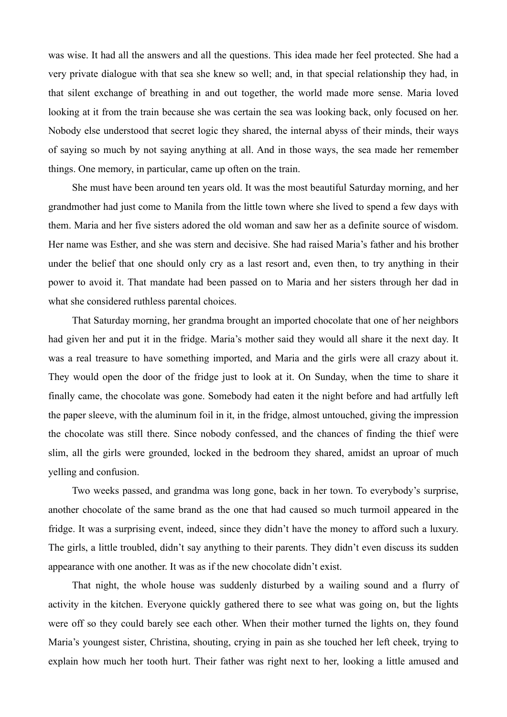was wise. It had all the answers and all the questions. This idea made her feel protected. She had a very private dialogue with that sea she knew so well; and, in that special relationship they had, in that silent exchange of breathing in and out together, the world made more sense. Maria loved looking at it from the train because she was certain the sea was looking back, only focused on her. Nobody else understood that secret logic they shared, the internal abyss of their minds, their ways of saying so much by not saying anything at all. And in those ways, the sea made her remember things. One memory, in particular, came up often on the train.

She must have been around ten years old. It was the most beautiful Saturday morning, and her grandmother had just come to Manila from the little town where she lived to spend a few days with them. Maria and her five sisters adored the old woman and saw her as a definite source of wisdom. Her name was Esther, and she was stern and decisive. She had raised Maria's father and his brother under the belief that one should only cry as a last resort and, even then, to try anything in their power to avoid it. That mandate had been passed on to Maria and her sisters through her dad in what she considered ruthless parental choices.

That Saturday morning, her grandma brought an imported chocolate that one of her neighbors had given her and put it in the fridge. Maria's mother said they would all share it the next day. It was a real treasure to have something imported, and Maria and the girls were all crazy about it. They would open the door of the fridge just to look at it. On Sunday, when the time to share it finally came, the chocolate was gone. Somebody had eaten it the night before and had artfully left the paper sleeve, with the aluminum foil in it, in the fridge, almost untouched, giving the impression the chocolate was still there. Since nobody confessed, and the chances of finding the thief were slim, all the girls were grounded, locked in the bedroom they shared, amidst an uproar of much yelling and confusion.

Two weeks passed, and grandma was long gone, back in her town. To everybody's surprise, another chocolate of the same brand as the one that had caused so much turmoil appeared in the fridge. It was a surprising event, indeed, since they didn't have the money to afford such a luxury. The girls, a little troubled, didn't say anything to their parents. They didn't even discuss its sudden appearance with one another. It was as if the new chocolate didn't exist.

That night, the whole house was suddenly disturbed by a wailing sound and a flurry of activity in the kitchen. Everyone quickly gathered there to see what was going on, but the lights were off so they could barely see each other. When their mother turned the lights on, they found Maria's youngest sister, Christina, shouting, crying in pain as she touched her left cheek, trying to explain how much her tooth hurt. Their father was right next to her, looking a little amused and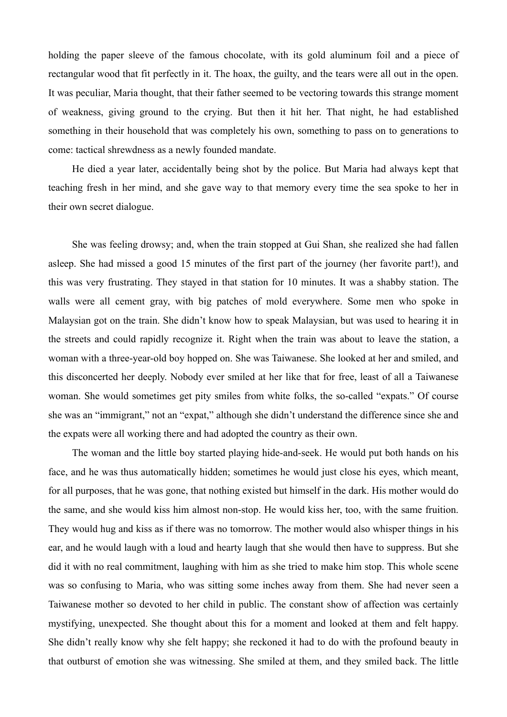holding the paper sleeve of the famous chocolate, with its gold aluminum foil and a piece of rectangular wood that fit perfectly in it. The hoax, the guilty, and the tears were all out in the open. It was peculiar, Maria thought, that their father seemed to be vectoring towards this strange moment of weakness, giving ground to the crying. But then it hit her. That night, he had established something in their household that was completely his own, something to pass on to generations to come: tactical shrewdness as a newly founded mandate.

He died a year later, accidentally being shot by the police. But Maria had always kept that teaching fresh in her mind, and she gave way to that memory every time the sea spoke to her in their own secret dialogue.

She was feeling drowsy; and, when the train stopped at Gui Shan, she realized she had fallen asleep. She had missed a good 15 minutes of the first part of the journey (her favorite part!), and this was very frustrating. They stayed in that station for 10 minutes. It was a shabby station. The walls were all cement gray, with big patches of mold everywhere. Some men who spoke in Malaysian got on the train. She didn't know how to speak Malaysian, but was used to hearing it in the streets and could rapidly recognize it. Right when the train was about to leave the station, a woman with a three-year-old boy hopped on. She was Taiwanese. She looked at her and smiled, and this disconcerted her deeply. Nobody ever smiled at her like that for free, least of all a Taiwanese woman. She would sometimes get pity smiles from white folks, the so-called "expats." Of course she was an "immigrant," not an "expat," although she didn't understand the difference since she and the expats were all working there and had adopted the country as their own.

The woman and the little boy started playing hide-and-seek. He would put both hands on his face, and he was thus automatically hidden; sometimes he would just close his eyes, which meant, for all purposes, that he was gone, that nothing existed but himself in the dark. His mother would do the same, and she would kiss him almost non-stop. He would kiss her, too, with the same fruition. They would hug and kiss as if there was no tomorrow. The mother would also whisper things in his ear, and he would laugh with a loud and hearty laugh that she would then have to suppress. But she did it with no real commitment, laughing with him as she tried to make him stop. This whole scene was so confusing to Maria, who was sitting some inches away from them. She had never seen a Taiwanese mother so devoted to her child in public. The constant show of affection was certainly mystifying, unexpected. She thought about this for a moment and looked at them and felt happy. She didn't really know why she felt happy; she reckoned it had to do with the profound beauty in that outburst of emotion she was witnessing. She smiled at them, and they smiled back. The little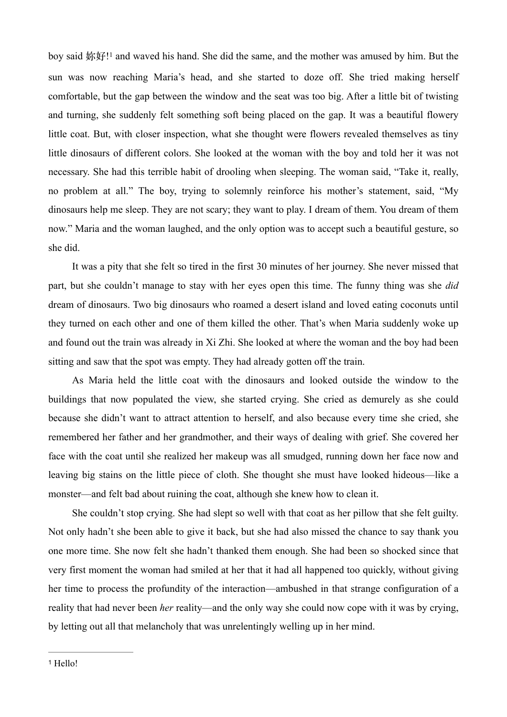<span id="page-4-1"></span>boy said 妳好[!](#page-4-0)<sup>[1](#page-4-0)</sup> and waved his hand. She did the same, and the mother was amused by him. But the sun was now reaching Maria's head, and she started to doze off. She tried making herself comfortable, but the gap between the window and the seat was too big. After a little bit of twisting and turning, she suddenly felt something soft being placed on the gap. It was a beautiful flowery little coat. But, with closer inspection, what she thought were flowers revealed themselves as tiny little dinosaurs of different colors. She looked at the woman with the boy and told her it was not necessary. She had this terrible habit of drooling when sleeping. The woman said, "Take it, really, no problem at all." The boy, trying to solemnly reinforce his mother's statement, said, "My dinosaurs help me sleep. They are not scary; they want to play. I dream of them. You dream of them now." Maria and the woman laughed, and the only option was to accept such a beautiful gesture, so she did.

It was a pity that she felt so tired in the first 30 minutes of her journey. She never missed that part, but she couldn't manage to stay with her eyes open this time. The funny thing was she *did* dream of dinosaurs. Two big dinosaurs who roamed a desert island and loved eating coconuts until they turned on each other and one of them killed the other. That's when Maria suddenly woke up and found out the train was already in Xi Zhi. She looked at where the woman and the boy had been sitting and saw that the spot was empty. They had already gotten off the train.

As Maria held the little coat with the dinosaurs and looked outside the window to the buildings that now populated the view, she started crying. She cried as demurely as she could because she didn't want to attract attention to herself, and also because every time she cried, she remembered her father and her grandmother, and their ways of dealing with grief. She covered her face with the coat until she realized her makeup was all smudged, running down her face now and leaving big stains on the little piece of cloth. She thought she must have looked hideous—like a monster—and felt bad about ruining the coat, although she knew how to clean it.

<span id="page-4-0"></span>She couldn't stop crying. She had slept so well with that coat as her pillow that she felt guilty. Not only hadn't she been able to give it back, but she had also missed the chance to say thank you one more time. She now felt she hadn't thanked them enough. She had been so shocked since that very first moment the woman had smiled at her that it had all happened too quickly, without giving her time to process the profundity of the interaction—ambushed in that strange configuration of a reality that had never been *her* reality—and the only way she could now cope with it was by crying, by letting out all that melancholy that was unrelentingly welling up in her mind.